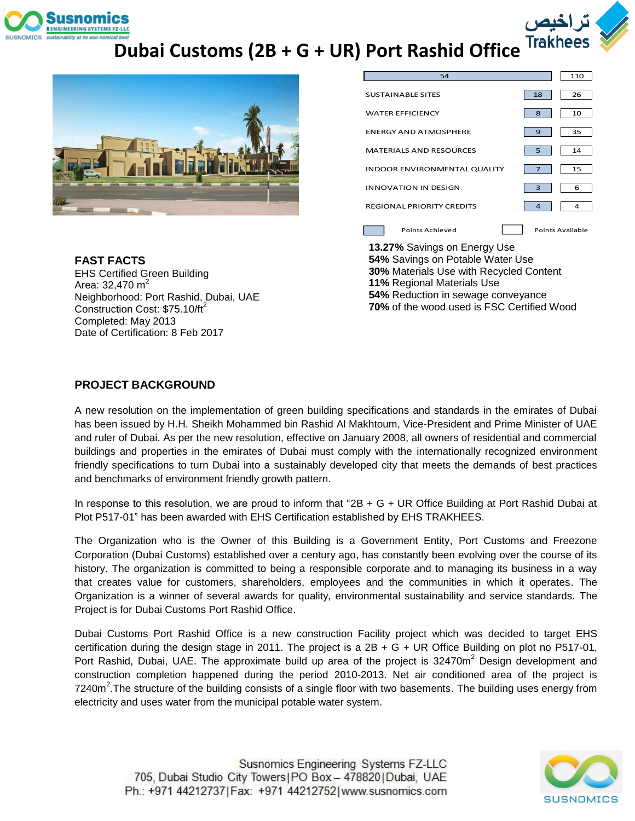

## **Dubai Customs (2B + G + UR) Port Rashid Office**



| 54                                  |                | 110              |
|-------------------------------------|----------------|------------------|
| <b>SUSTAINABLE SITES</b>            | 18             | 26               |
| <b>WATER EFFICIENCY</b>             | 8              | 10               |
| <b>ENERGY AND ATMOSPHERE</b>        | 9              | 35               |
| <b>MATERIALS AND RESOURCES</b>      | 5              | 14               |
| <b>INDOOR ENVIRONMENTAL QUALITY</b> |                | 15               |
| <b>INNOVATION IN DESIGN</b>         | 3              | 6                |
| <b>REGIONAL PRIORITY CREDITS</b>    | $\overline{4}$ | 4                |
| Points Achieved                     |                | Points Available |

**FAST FACTS** EHS Certified Green Building Area: 32,470  $m^2$ Neighborhood: Port Rashid, Dubai, UAE Construction Cost:  $$75.10/ft^2$ Completed: May 2013 Date of Certification: 8 Feb 2017

**13.27%** Savings on Energy Use **54%** Savings on Potable Water Use **30%** Materials Use with Recycled Content **11%** Regional Materials Use **54%** Reduction in sewage conveyance **70%** of the wood used is FSC Certified Wood

#### **PROJECT BACKGROUND**

A new resolution on the implementation of green building specifications and standards in the emirates of Dubai has been issued by H.H. Sheikh Mohammed bin Rashid Al Makhtoum, Vice-President and Prime Minister of UAE and ruler of Dubai. As per the new resolution, effective on January 2008, all owners of residential and commercial buildings and properties in the emirates of Dubai must comply with the internationally recognized environment friendly specifications to turn Dubai into a sustainably developed city that meets the demands of best practices and benchmarks of environment friendly growth pattern.

In response to this resolution, we are proud to inform that "2B + G + UR Office Building at Port Rashid Dubai at Plot P517-01" has been awarded with EHS Certification established by EHS TRAKHEES.

The Organization who is the Owner of this Building is a Government Entity, Port Customs and Freezone Corporation (Dubai Customs) established over a century ago, has constantly been evolving over the course of its history. The organization is committed to being a responsible corporate and to managing its business in a way that creates value for customers, shareholders, employees and the communities in which it operates. The Organization is a winner of several awards for quality, environmental sustainability and service standards. The Project is for Dubai Customs Port Rashid Office.

Dubai Customs Port Rashid Office is a new construction Facility project which was decided to target EHS certification during the design stage in 2011. The project is a 2B + G + UR Office Building on plot no P517-01, Port Rashid, Dubai, UAE. The approximate build up area of the project is 32470m<sup>2</sup> Design development and construction completion happened during the period 2010-2013. Net air conditioned area of the project is 7240m<sup>2</sup>. The structure of the building consists of a single floor with two basements. The building uses energy from electricity and uses water from the municipal potable water system.

Susnomics Engineering Systems FZ-LLC 705, Dubai Studio City Towers | PO Box - 478820 | Dubai, UAE Ph.: +971 44212737 | Fax: +971 44212752 | www.susnomics.com

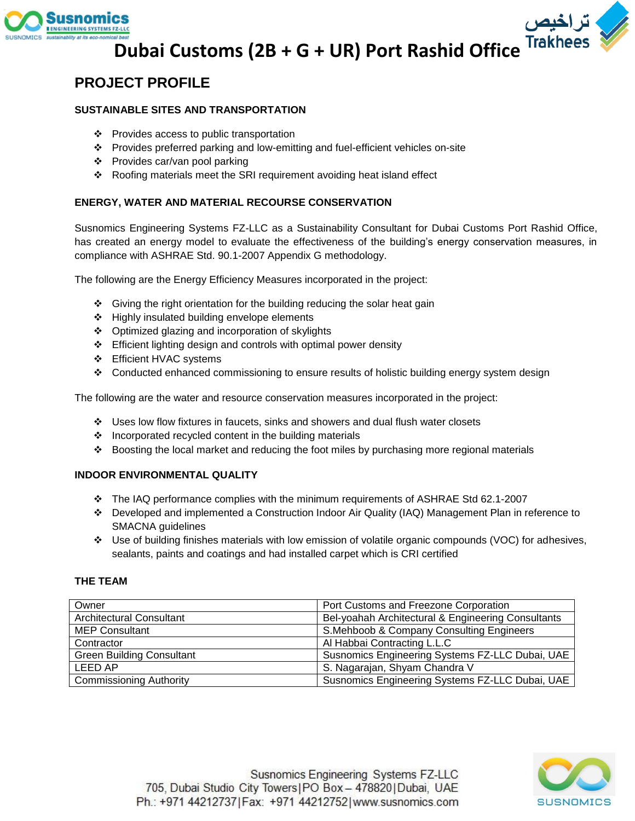



# لي تراخيص<br>Dubai Customs (2B + G + UR) Port Rashid Office <sup>Trakhees</sup><br>ECT PROF!! F

### **PROJECT PROFILE**

#### **SUSTAINABLE SITES AND TRANSPORTATION**

- ❖ Provides access to public transportation
- Provides preferred parking and low-emitting and fuel-efficient vehicles on-site
- Provides car/van pool parking
- Roofing materials meet the SRI requirement avoiding heat island effect

#### **ENERGY, WATER AND MATERIAL RECOURSE CONSERVATION**

Susnomics Engineering Systems FZ-LLC as a Sustainability Consultant for Dubai Customs Port Rashid Office, has created an energy model to evaluate the effectiveness of the building's energy conservation measures, in compliance with ASHRAE Std. 90.1-2007 Appendix G methodology.

The following are the Energy Efficiency Measures incorporated in the project:

- Giving the right orientation for the building reducing the solar heat gain
- Highly insulated building envelope elements
- Optimized glazing and incorporation of skylights
- Efficient lighting design and controls with optimal power density
- Efficient HVAC systems
- Conducted enhanced commissioning to ensure results of holistic building energy system design

The following are the water and resource conservation measures incorporated in the project:

- Uses low flow fixtures in faucets, sinks and showers and dual flush water closets
- $\div$  Incorporated recycled content in the building materials
- Boosting the local market and reducing the foot miles by purchasing more regional materials

#### **INDOOR ENVIRONMENTAL QUALITY**

- The IAQ performance complies with the minimum requirements of ASHRAE Std 62.1-2007
- Developed and implemented a Construction Indoor Air Quality (IAQ) Management Plan in reference to SMACNA guidelines
- Use of building finishes materials with low emission of volatile organic compounds (VOC) for adhesives, sealants, paints and coatings and had installed carpet which is CRI certified

#### **THE TEAM**

| Owner                            | Port Customs and Freezone Corporation              |
|----------------------------------|----------------------------------------------------|
| <b>Architectural Consultant</b>  | Bel-yoahah Architectural & Engineering Consultants |
| <b>MEP Consultant</b>            | S.Mehboob & Company Consulting Engineers           |
| Contractor                       | Al Habbai Contracting L.L.C                        |
| <b>Green Building Consultant</b> | Susnomics Engineering Systems FZ-LLC Dubai, UAE    |
| LEED AP                          | S. Nagarajan, Shyam Chandra V                      |
| <b>Commissioning Authority</b>   | Susnomics Engineering Systems FZ-LLC Dubai, UAE    |